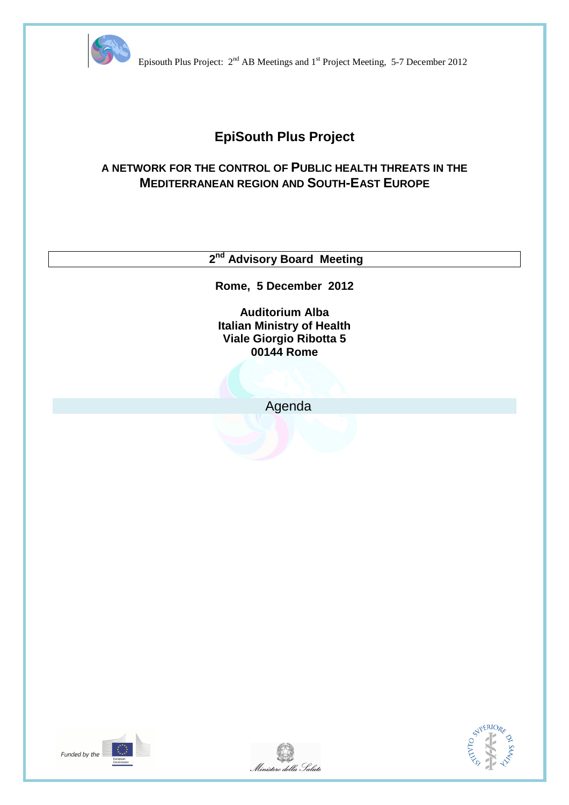

Episouth Plus Project:  $2<sup>nd</sup> AB$  Meetings and 1<sup>st</sup> Project Meeting, 5-7 December 2012

# **EpiSouth Plus Project**

# **A NETWORK FOR THE CONTROL OF PUBLIC HEALTH THREATS IN THE MEDITERRANEAN REGION AND SOUTH-EAST EUROPE**

 **2nd Advisory Board Meeting** 

**Rome, 5 December 2012** 

**Auditorium Alba Italian Ministry of Health Viale Giorgio Ribotta 5 00144 Rome** 

Agenda





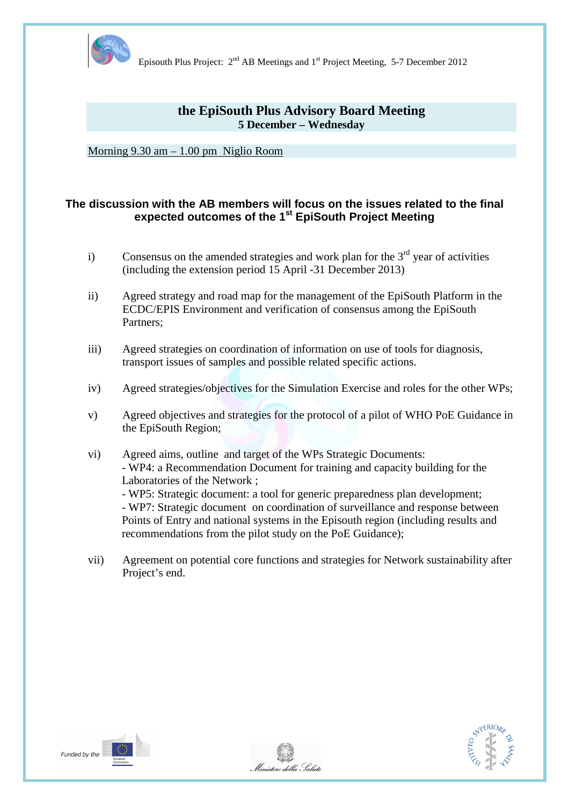

Episouth Plus Project:  $2<sup>nd</sup>$  AB Meetings and 1<sup>st</sup> Project Meeting, 5-7 December 2012

# **the EpiSouth Plus Advisory Board Meeting 5 December – Wednesday**

Morning 9.30 am – 1.00 pm Niglio Room

## **The discussion with the AB members will focus on the issues related to the final expected outcomes of the 1st EpiSouth Project Meeting**

- i) Consensus on the amended strategies and work plan for the  $3<sup>rd</sup>$  year of activities (including the extension period 15 April -31 December 2013)
- ii) Agreed strategy and road map for the management of the EpiSouth Platform in the ECDC/EPIS Environment and verification of consensus among the EpiSouth Partners;
- iii) Agreed strategies on coordination of information on use of tools for diagnosis, transport issues of samples and possible related specific actions.
- iv) Agreed strategies/objectives for the Simulation Exercise and roles for the other WPs;
- v) Agreed objectives and strategies for the protocol of a pilot of WHO PoE Guidance in the EpiSouth Region;
- vi) Agreed aims, outline and target of the WPs Strategic Documents: - WP4: a Recommendation Document for training and capacity building for the Laboratories of the Network ;

 - WP5: Strategic document: a tool for generic preparedness plan development; - WP7: Strategic document on coordination of surveillance and response between Points of Entry and national systems in the Episouth region (including results and recommendations from the pilot study on the PoE Guidance);

vii) Agreement on potential core functions and strategies for Network sustainability after Project's end.